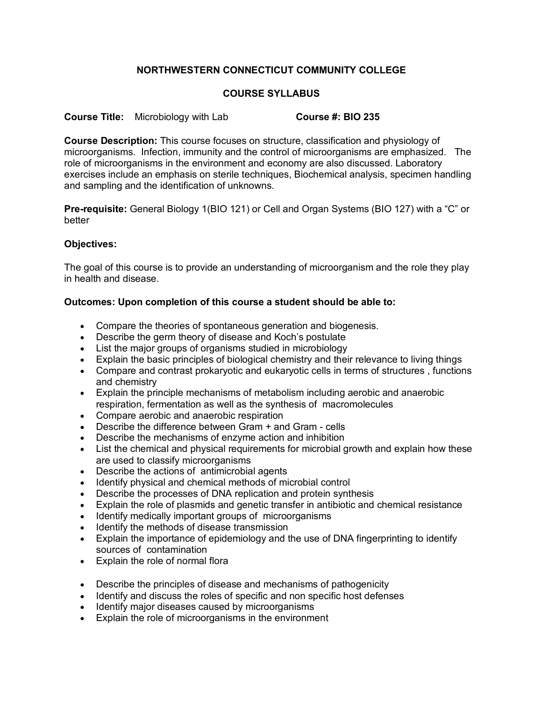## **NORTHWESTERN CONNECTICUT COMMUNITY COLLEGE**

## **COURSE SYLLABUS**

**Course Title:** Microbiology with Lab **Course #: BIO 235**

**Course Description:** This course focuses on structure, classification and physiology of microorganisms. Infection, immunity and the control of microorganisms are emphasized. The role of microorganisms in the environment and economy are also discussed. Laboratory exercises include an emphasis on sterile techniques, Biochemical analysis, specimen handling and sampling and the identification of unknowns.

**Pre-requisite:** General Biology 1(BIO 121) or Cell and Organ Systems (BIO 127) with a "C" or better

## **Objectives:**

The goal of this course is to provide an understanding of microorganism and the role they play in health and disease.

## **Outcomes: Upon completion of this course a student should be able to:**

- Compare the theories of spontaneous generation and biogenesis.
- Describe the germ theory of disease and Koch's postulate
- List the major groups of organisms studied in microbiology
- Explain the basic principles of biological chemistry and their relevance to living things
- Compare and contrast prokaryotic and eukaryotic cells in terms of structures , functions and chemistry
- Explain the principle mechanisms of metabolism including aerobic and anaerobic respiration, fermentation as well as the synthesis of macromolecules
- Compare aerobic and anaerobic respiration
- Describe the difference between Gram + and Gram cells
- Describe the mechanisms of enzyme action and inhibition
- List the chemical and physical requirements for microbial growth and explain how these are used to classify microorganisms
- Describe the actions of antimicrobial agents
- Identify physical and chemical methods of microbial control
- Describe the processes of DNA replication and protein synthesis
- Explain the role of plasmids and genetic transfer in antibiotic and chemical resistance
- Identify medically important groups of microorganisms
- Identify the methods of disease transmission
- Explain the importance of epidemiology and the use of DNA fingerprinting to identify sources of contamination
- Explain the role of normal flora
- Describe the principles of disease and mechanisms of pathogenicity
- Identify and discuss the roles of specific and non specific host defenses
- Identify major diseases caused by microorganisms
- Explain the role of microorganisms in the environment